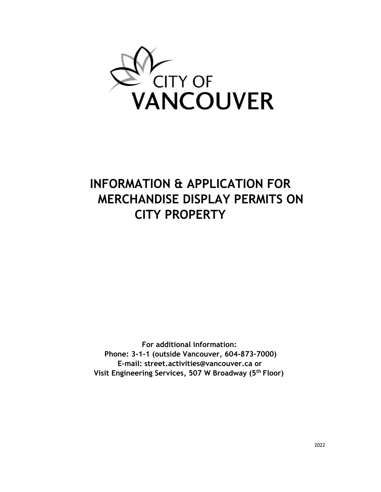

# **INFORMATION & APPLICATION FOR MERCHANDISE DISPLAY PERMITS ON CITY PROPERTY**

**For additional information: Phone: 3-1-1 (outside Vancouver, 604-873-7000) E-mail: street.activities@vancouver.ca or Visit Engineering Services, 507 W Broadway (5th Floor)**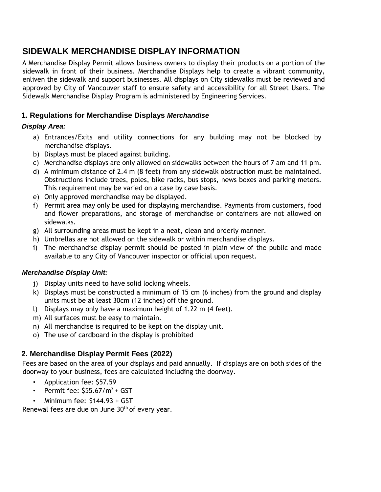# **SIDEWALK MERCHANDISE DISPLAY INFORMATION**

A Merchandise Display Permit allows business owners to display their products on a portion of the sidewalk in front of their business. Merchandise Displays help to create a vibrant community, enliven the sidewalk and support businesses. All displays on City sidewalks must be reviewed and approved by City of Vancouver staff to ensure safety and accessibility for all Street Users. The Sidewalk Merchandise Display Program is administered by Engineering Services.

## **1. Regulations for Merchandise Displays** *Merchandise*

### *Display Area:*

- a) Entrances/Exits and utility connections for any building may not be blocked by merchandise displays.
- b) Displays must be placed against building.
- c) Merchandise displays are only allowed on sidewalks between the hours of 7 am and 11 pm.
- d) A minimum distance of 2.4 m (8 feet) from any sidewalk obstruction must be maintained. Obstructions include trees, poles, bike racks, bus stops, news boxes and parking meters. This requirement may be varied on a case by case basis.
- e) Only approved merchandise may be displayed.
- f) Permit area may only be used for displaying merchandise. Payments from customers, food and flower preparations, and storage of merchandise or containers are not allowed on sidewalks.
- g) All surrounding areas must be kept in a neat, clean and orderly manner.
- h) Umbrellas are not allowed on the sidewalk or within merchandise displays.
- i) The merchandise display permit should be posted in plain view of the public and made available to any City of Vancouver inspector or official upon request.

#### *Merchandise Display Unit:*

- j) Display units need to have solid locking wheels.
- k) Displays must be constructed a minimum of 15 cm (6 inches) from the ground and display units must be at least 30cm (12 inches) off the ground.
- l) Displays may only have a maximum height of 1.22 m (4 feet).
- m) All surfaces must be easy to maintain.
- n) All merchandise is required to be kept on the display unit.
- o) The use of cardboard in the display is prohibited

# **2. Merchandise Display Permit Fees (2022)**

Fees are based on the area of your displays and paid annually. If displays are on both sides of the doorway to your business, fees are calculated including the doorway.

- Application fee: \$57.59
- Permit fee:  $$55.67/m^2 + GST$
- Minimum fee: \$144.93 + GST

Renewal fees are due on June  $30<sup>th</sup>$  of every year.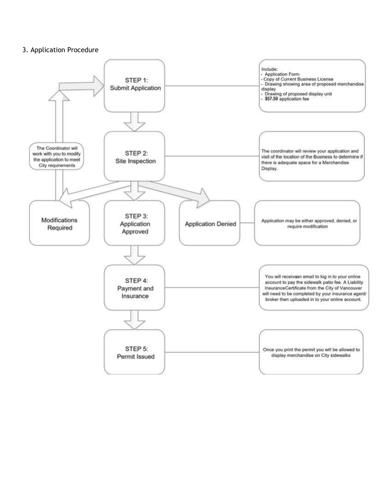#### 3. Application Procedure

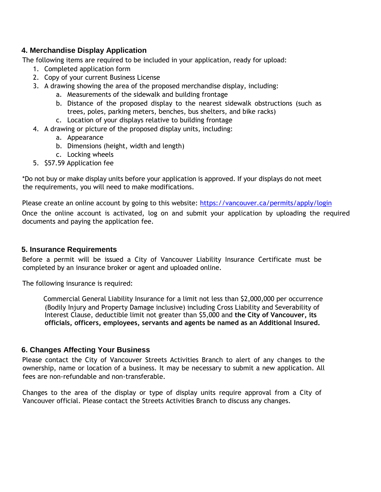#### **4. Merchandise Display Application**

The following items are required to be included in your application, ready for upload:

- 1. Completed application form
- 2. Copy of your current Business License
- 3. A drawing showing the area of the proposed merchandise display, including:
	- a. Measurements of the sidewalk and building frontage
	- b. Distance of the proposed display to the nearest sidewalk obstructions (such as trees, poles, parking meters, benches, bus shelters, and bike racks)
	- c. Location of your displays relative to building frontage
- 4. A drawing or picture of the proposed display units, including:
	- a. Appearance
	- b. Dimensions (height, width and length)
	- c. Locking wheels
- 5. \$57.59 Application fee

\*Do not buy or make display units before your application is approved. If your displays do not meet the requirements, you will need to make modifications.

Please create an online account by going to this website:<https://vancouver.ca/permits/apply/login> Once the online account is activated, log on and submit your application by uploading the required documents and paying the application fee.

#### **5. Insurance Requirements**

Before a permit will be issued a City of Vancouver Liability Insurance Certificate must be completed by an insurance broker or agent and uploaded online.

The following insurance is required:

Commercial General Liability Insurance for a limit not less than \$2,000,000 per occurrence (Bodily Injury and Property Damage inclusive) including Cross Liability and Severability of Interest Clause, deductible limit not greater than \$5,000 and **the City of Vancouver, its officials, officers, employees, servants and agents be named as an Additional Insured.**

#### **6. Changes Affecting Your Business**

Please contact the City of Vancouver Streets Activities Branch to alert of any changes to the ownership, name or location of a business. It may be necessary to submit a new application. All fees are non-refundable and non-transferable.

Changes to the area of the display or type of display units require approval from a City of Vancouver official. Please contact the Streets Activities Branch to discuss any changes.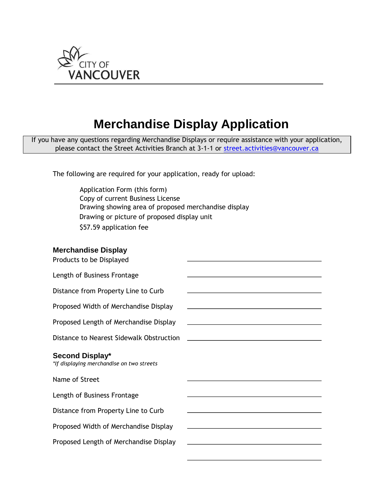

# **Merchandise Display Application**

If you have any questions regarding Merchandise Displays or require assistance with your application, please contact the Street Activities Branch at 3-1-1 or street.activities@vancouver.ca

The following are required for your application, ready for upload:

Application Form (this form) Copy of current Business License Drawing showing area of proposed merchandise display Drawing or picture of proposed display unit \$57.59 application fee

#### **Merchandise Display**

| Products to be Displayed                                     |                                                                                                                      |
|--------------------------------------------------------------|----------------------------------------------------------------------------------------------------------------------|
| Length of Business Frontage                                  |                                                                                                                      |
| Distance from Property Line to Curb                          | <u> 1989 - Johann Stein, fransk politik (f. 1989)</u>                                                                |
| Proposed Width of Merchandise Display                        |                                                                                                                      |
| Proposed Length of Merchandise Display                       |                                                                                                                      |
| Distance to Nearest Sidewalk Obstruction                     |                                                                                                                      |
| Second Display*<br>*If displaying merchandise on two streets |                                                                                                                      |
| Name of Street                                               |                                                                                                                      |
| Length of Business Frontage                                  | <u> 1980 - Johann Barn, amerikan besteman besteman besteman besteman besteman besteman besteman besteman bestema</u> |
| Distance from Property Line to Curb                          |                                                                                                                      |
| Proposed Width of Merchandise Display                        |                                                                                                                      |
| Proposed Length of Merchandise Display                       |                                                                                                                      |
|                                                              |                                                                                                                      |